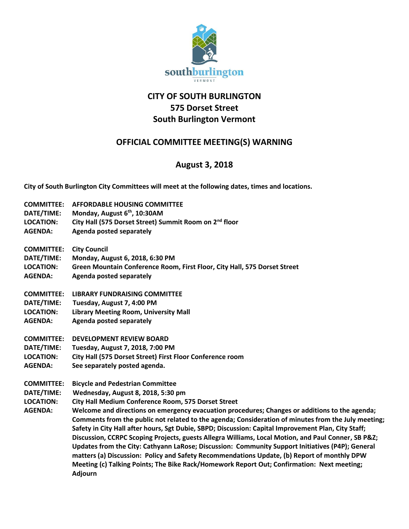

## **CITY OF SOUTH BURLINGTON 575 Dorset Street South Burlington Vermont**

## **OFFICIAL COMMITTEE MEETING(S) WARNING**

## **August 3, 2018**

**City of South Burlington City Committees will meet at the following dates, times and locations.** 

| Welcome and directions on emergency evacuation procedures; Changes or additions to the agenda;      |
|-----------------------------------------------------------------------------------------------------|
| Comments from the public not related to the agenda; Consideration of minutes from the July meeting; |
| Safety in City Hall after hours, Sgt Dubie, SBPD; Discussion: Capital Improvement Plan, City Staff; |
| Discussion, CCRPC Scoping Projects, guests Allegra Williams, Local Motion, and Paul Conner, SB P&Z  |
| Updates from the City: Cathyann LaRose; Discussion: Community Support Initiatives (P4P); General    |
|                                                                                                     |
| matters (a) Discussion: Policy and Safety Recommendations Update, (b) Report of monthly DPW         |
| Meeting (c) Talking Points; The Bike Rack/Homework Report Out; Confirmation: Next meeting;          |
|                                                                                                     |